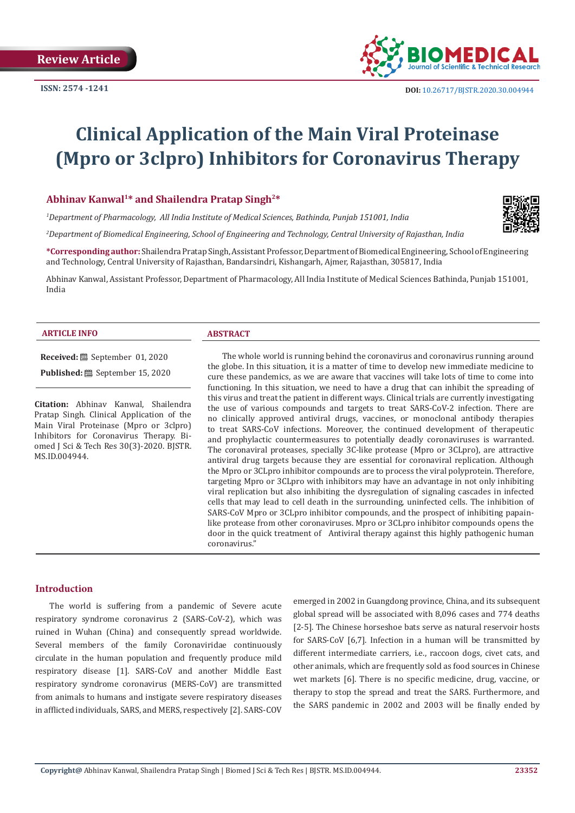

# **Clinical Application of the Main Viral Proteinase (Mpro or 3clpro) Inhibitors for Coronavirus Therapy**

# **Abhinav Kanwal1\* and Shailendra Pratap Singh2\***

*1 Department of Pharmacology, All India Institute of Medical Sciences, Bathinda, Punjab 151001, India*

*2 Department of Biomedical Engineering, School of Engineering and Technology, Central University of Rajasthan, India*

**\*Corresponding author:** Shailendra Pratap Singh, Assistant Professor, Department of Biomedical Engineering, School of Engineering and Technology, Central University of Rajasthan, Bandarsindri, Kishangarh, Ajmer, Rajasthan, 305817, India

Abhinav Kanwal, Assistant Professor, Department of Pharmacology, All India Institute of Medical Sciences Bathinda, Punjab 151001, India

### **ARTICLE INFO ABSTRACT**

**Received:** September 01, 2020

**Published:** September 15, 2020

**Citation:** Abhinav Kanwal, Shailendra Pratap Singh. Clinical Application of the Main Viral Proteinase (Mpro or 3clpro) Inhibitors for Coronavirus Therapy. Biomed J Sci & Tech Res 30(3)-2020. BJSTR. MS.ID.004944.

The whole world is running behind the coronavirus and coronavirus running around the globe. In this situation, it is a matter of time to develop new immediate medicine to cure these pandemics, as we are aware that vaccines will take lots of time to come into functioning. In this situation, we need to have a drug that can inhibit the spreading of this virus and treat the patient in different ways. Clinical trials are currently investigating the use of various compounds and targets to treat SARS-CoV-2 infection. There are no clinically approved antiviral drugs, vaccines, or monoclonal antibody therapies to treat SARS-CoV infections. Moreover, the continued development of therapeutic and prophylactic countermeasures to potentially deadly coronaviruses is warranted. The coronaviral proteases, specially 3C-like protease (Mpro or 3CLpro), are attractive antiviral drug targets because they are essential for coronaviral replication. Although the Mpro or 3CLpro inhibitor compounds are to process the viral polyprotein. Therefore, targeting Mpro or 3CLpro with inhibitors may have an advantage in not only inhibiting viral replication but also inhibiting the dysregulation of signaling cascades in infected cells that may lead to cell death in the surrounding, uninfected cells. The inhibition of SARS-CoV Mpro or 3CLpro inhibitor compounds, and the prospect of inhibiting papainlike protease from other coronaviruses. Mpro or 3CLpro inhibitor compounds opens the door in the quick treatment of Antiviral therapy against this highly pathogenic human coronavirus."

### **Introduction**

The world is suffering from a pandemic of Severe acute respiratory syndrome coronavirus 2 (SARS-CoV-2), which was ruined in Wuhan (China) and consequently spread worldwide. Several members of the family Coronaviridae continuously circulate in the human population and frequently produce mild respiratory disease [1]. SARS-CoV and another Middle East respiratory syndrome coronavirus (MERS-CoV) are transmitted from animals to humans and instigate severe respiratory diseases in afflicted individuals, SARS, and MERS, respectively [2]. SARS-COV emerged in 2002 in Guangdong province, China, and its subsequent global spread will be associated with 8,096 cases and 774 deaths [2-5]. The Chinese horseshoe bats serve as natural reservoir hosts for SARS-CoV [6,7]. Infection in a human will be transmitted by different intermediate carriers, i.e., raccoon dogs, civet cats, and other animals, which are frequently sold as food sources in Chinese wet markets [6]. There is no specific medicine, drug, vaccine, or therapy to stop the spread and treat the SARS. Furthermore, and the SARS pandemic in 2002 and 2003 will be finally ended by

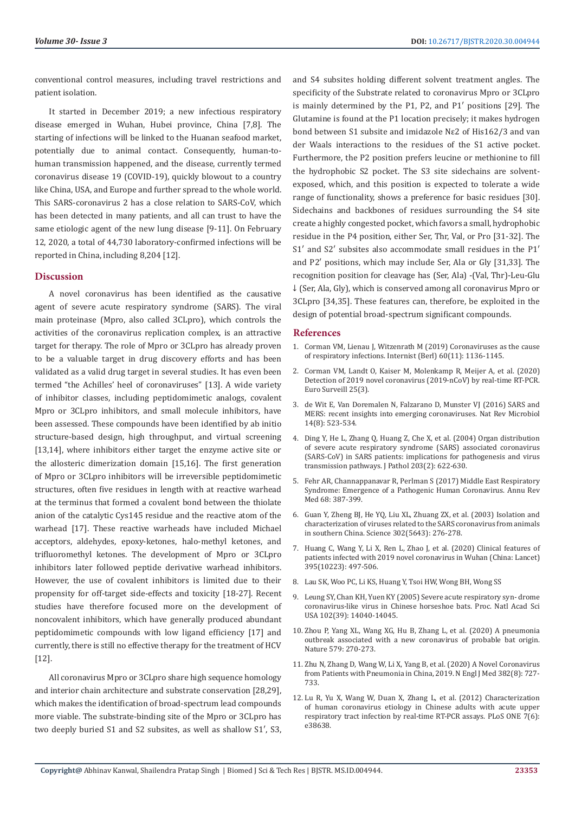conventional control measures, including travel restrictions and patient isolation.

It started in December 2019; a new infectious respiratory disease emerged in Wuhan, Hubei province, China [7,8]. The starting of infections will be linked to the Huanan seafood market, potentially due to animal contact. Consequently, human-tohuman transmission happened, and the disease, currently termed coronavirus disease 19 (COVID-19), quickly blowout to a country like China, USA, and Europe and further spread to the whole world. This SARS-coronavirus 2 has a close relation to SARS-CoV, which has been detected in many patients, and all can trust to have the same etiologic agent of the new lung disease [9-11]. On February 12, 2020, a total of 44,730 laboratory-confirmed infections will be reported in China, including 8,204 [12].

# **Discussion**

A novel coronavirus has been identified as the causative agent of severe acute respiratory syndrome (SARS). The viral main proteinase (Mpro, also called 3CLpro), which controls the activities of the coronavirus replication complex, is an attractive target for therapy. The role of Mpro or 3CLpro has already proven to be a valuable target in drug discovery efforts and has been validated as a valid drug target in several studies. It has even been termed "the Achilles' heel of coronaviruses" [13]. A wide variety of inhibitor classes, including peptidomimetic analogs, covalent Mpro or 3CLpro inhibitors, and small molecule inhibitors, have been assessed. These compounds have been identified by ab initio structure-based design, high throughput, and virtual screening [13,14], where inhibitors either target the enzyme active site or the allosteric dimerization domain [15,16]. The first generation of Mpro or 3CLpro inhibitors will be irreversible peptidomimetic structures, often five residues in length with at reactive warhead at the terminus that formed a covalent bond between the thiolate anion of the catalytic Cys145 residue and the reactive atom of the warhead [17]. These reactive warheads have included Michael acceptors, aldehydes, epoxy-ketones, halo-methyl ketones, and trifluoromethyl ketones. The development of Mpro or 3CLpro inhibitors later followed peptide derivative warhead inhibitors. However, the use of covalent inhibitors is limited due to their propensity for off-target side-effects and toxicity [18-27]. Recent studies have therefore focused more on the development of noncovalent inhibitors, which have generally produced abundant peptidomimetic compounds with low ligand efficiency [17] and currently, there is still no effective therapy for the treatment of HCV [12].

All coronavirus Mpro or 3CLpro share high sequence homology and interior chain architecture and substrate conservation [28,29], which makes the identification of broad-spectrum lead compounds more viable. The substrate-binding site of the Mpro or 3CLpro has two deeply buried S1 and S2 subsites, as well as shallow S1′, S3, and S4 subsites holding different solvent treatment angles. The specificity of the Substrate related to coronavirus Mpro or 3CLpro is mainly determined by the P1, P2, and P1′ positions [29]. The Glutamine is found at the P1 location precisely; it makes hydrogen bond between S1 subsite and imidazole Nε2 of His162/3 and van der Waals interactions to the residues of the S1 active pocket. Furthermore, the P2 position prefers leucine or methionine to fill the hydrophobic S2 pocket. The S3 site sidechains are solventexposed, which, and this position is expected to tolerate a wide range of functionality, shows a preference for basic residues [30]. Sidechains and backbones of residues surrounding the S4 site create a highly congested pocket, which favors a small, hydrophobic residue in the P4 position, either Ser, Thr, Val, or Pro [31-32]. The S1′ and S2′ subsites also accommodate small residues in the P1′ and P2′ positions, which may include Ser, Ala or Gly [31,33]. The recognition position for cleavage has (Ser, Ala) -(Val, Thr)-Leu-Glu ↓ (Ser, Ala, Gly), which is conserved among all coronavirus Mpro or 3CLpro [34,35]. These features can, therefore, be exploited in the design of potential broad-spectrum significant compounds.

### **References**

- 1. [Corman VM, Lienau J, Witzenrath M \(2019\) Coronaviruses as the cause](https://pubmed.ncbi.nlm.nih.gov/31455974/) [of respiratory infections. Internist \(Berl\) 60\(11\): 1136-1145.](https://pubmed.ncbi.nlm.nih.gov/31455974/)
- 2. [Corman VM, Landt O, Kaiser M, Molenkamp R, Meijer A, et al. \(2020\)](https://www.ncbi.nlm.nih.gov/pmc/articles/PMC6988269/) [Detection of 2019 novel coronavirus \(2019-nCoV\) by real-time RT-PCR.](https://www.ncbi.nlm.nih.gov/pmc/articles/PMC6988269/) [Euro Surveill 25\(3\).](https://www.ncbi.nlm.nih.gov/pmc/articles/PMC6988269/)
- 3. [de Wit E, Van Doremalen N, Falzarano D, Munster VJ \(2016\) SARS and](https://pubmed.ncbi.nlm.nih.gov/27344959/) [MERS: recent insights into emerging coronaviruses. Nat Rev Microbiol](https://pubmed.ncbi.nlm.nih.gov/27344959/) [14\(8\): 523-534.](https://pubmed.ncbi.nlm.nih.gov/27344959/)
- 4. [Ding Y, He L, Zhang Q, Huang Z, Che X, et al. \(2004\) Organ distribution](https://www.ncbi.nlm.nih.gov/pmc/articles/PMC7167761/) [of severe acute respiratory syndrome \(SARS\) associated coronavirus](https://www.ncbi.nlm.nih.gov/pmc/articles/PMC7167761/) [\(SARS-CoV\) in SARS patients: implications for pathogenesis and virus](https://www.ncbi.nlm.nih.gov/pmc/articles/PMC7167761/) [transmission pathways. J Pathol 203\(2\): 622-630.](https://www.ncbi.nlm.nih.gov/pmc/articles/PMC7167761/)
- 5. [Fehr AR, Channappanavar R, Perlman S \(2017\) Middle East Respiratory](https://pubmed.ncbi.nlm.nih.gov/27576010/) [Syndrome: Emergence of a Pathogenic Human Coronavirus. Annu Rev](https://pubmed.ncbi.nlm.nih.gov/27576010/) [Med 68: 387-399.](https://pubmed.ncbi.nlm.nih.gov/27576010/)
- 6. [Guan Y, Zheng BJ, He YQ, Liu XL, Zhuang ZX, et al. \(2003\) Isolation and](https://pubmed.ncbi.nlm.nih.gov/12958366/) [characterization of viruses related to the SARS coronavirus from animals](https://pubmed.ncbi.nlm.nih.gov/12958366/) [in southern China. Science 302\(5643\): 276-278.](https://pubmed.ncbi.nlm.nih.gov/12958366/)
- 7. [Huang C, Wang Y, Li X, Ren L, Zhao J, et al. \(2020\) Clinical features of](https://pubmed.ncbi.nlm.nih.gov/31986264/) [patients infected with 2019 novel coronavirus in Wuhan \(China: Lancet\)](https://pubmed.ncbi.nlm.nih.gov/31986264/) [395\(10223\): 497-506.](https://pubmed.ncbi.nlm.nih.gov/31986264/)
- 8. Lau SK, Woo PC, Li KS, Huang Y, Tsoi HW, Wong BH, Wong SS
- 9. [Leung SY, Chan KH, Yuen KY \(2005\) Severe acute respiratory syn- drome](https://pubmed.ncbi.nlm.nih.gov/16169905/) [coronavirus-like virus in Chinese horseshoe bats. Proc. Natl Acad Sci](https://pubmed.ncbi.nlm.nih.gov/16169905/) [USA 102\(39\): 14040-14045.](https://pubmed.ncbi.nlm.nih.gov/16169905/)
- 10. [Zhou P, Yang XL, Wang XG, Hu B, Zhang L, et al. \(2020\) A pneumonia](https://www.nature.com/articles/s41586-020-2012-7) [outbreak associated with a new coronavirus of probable bat origin.](https://www.nature.com/articles/s41586-020-2012-7) [Nature 579: 270-273.](https://www.nature.com/articles/s41586-020-2012-7)
- 11. [Zhu N, Zhang D, Wang W, Li X, Yang B, et al. \(2020\) A Novel Coronavirus](https://pubmed.ncbi.nlm.nih.gov/31978945/) [from Patients with Pneumonia in China, 2019. N Engl J Med 382\(8\): 727-](https://pubmed.ncbi.nlm.nih.gov/31978945/) [733.](https://pubmed.ncbi.nlm.nih.gov/31978945/)
- 12. [Lu R, Yu X, Wang W, Duan X, Zhang L, et al. \(2012\) Characterization](https://pubmed.ncbi.nlm.nih.gov/22719912/) [of human coronavirus etiology in Chinese adults with acute upper](https://pubmed.ncbi.nlm.nih.gov/22719912/) [respiratory tract infection by real-time RT-PCR assays. PLoS ONE 7\(6\):](https://pubmed.ncbi.nlm.nih.gov/22719912/) [e38638.](https://pubmed.ncbi.nlm.nih.gov/22719912/)